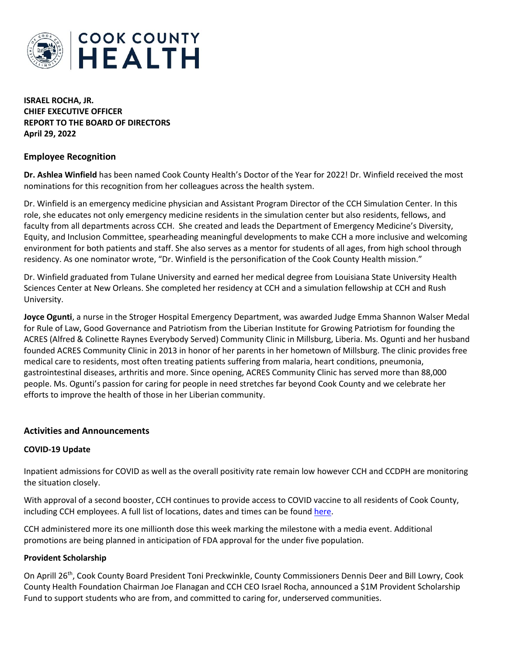

**ISRAEL ROCHA, JR. CHIEF EXECUTIVE OFFICER REPORT TO THE BOARD OF DIRECTORS April 29, 2022**

## **Employee Recognition**

**Dr. Ashlea Winfield** has been named Cook County Health's Doctor of the Year for 2022! Dr. Winfield received the most nominations for this recognition from her colleagues across the health system.

Dr. Winfield is an emergency medicine physician and Assistant Program Director of the CCH Simulation Center. In this role, she educates not only emergency medicine residents in the simulation center but also residents, fellows, and faculty from all departments across CCH. She created and leads the Department of Emergency Medicine's Diversity, Equity, and Inclusion Committee, spearheading meaningful developments to make CCH a more inclusive and welcoming environment for both patients and staff. She also serves as a mentor for students of all ages, from high school through residency. As one nominator wrote, "Dr. Winfield is the personification of the Cook County Health mission."

Dr. Winfield graduated from Tulane University and earned her medical degree from Louisiana State University Health Sciences Center at New Orleans. She completed her residency at CCH and a simulation fellowship at CCH and Rush University.

**Joyce Ogunti**, a nurse in the Stroger Hospital Emergency Department, was awarded Judge Emma Shannon Walser Medal for Rule of Law, Good Governance and Patriotism from the Liberian Institute for Growing Patriotism for founding the ACRES (Alfred & Colinette Raynes Everybody Served) Community Clinic in Millsburg, Liberia. Ms. Ogunti and her husband founded ACRES Community Clinic in 2013 in honor of her parents in her hometown of Millsburg. The clinic provides free medical care to residents, most often treating patients suffering from malaria, heart conditions, pneumonia, gastrointestinal diseases, arthritis and more. Since opening, ACRES Community Clinic has served more than 88,000 people. Ms. Ogunti's passion for caring for people in need stretches far beyond Cook County and we celebrate her efforts to improve the health of those in her Liberian community.

#### **Activities and Announcements**

#### **COVID-19 Update**

Inpatient admissions for COVID as well as the overall positivity rate remain low however CCH and CCDPH are monitoring the situation closely.

With approval of a second booster, CCH continues to provide access to COVID vaccine to all residents of Cook County, including CCH employees. A full list of locations, dates and times can be foun[d here.](https://myshotcookcounty.com/locations/)

CCH administered more its one millionth dose this week marking the milestone with a media event. Additional promotions are being planned in anticipation of FDA approval for the under five population.

#### **Provident Scholarship**

On Aprill 26th, Cook County Board President Toni Preckwinkle, County Commissioners Dennis Deer and Bill Lowry, Cook County Health Foundation Chairman Joe Flanagan and CCH CEO Israel Rocha, announced a \$1M Provident Scholarship Fund to support students who are from, and committed to caring for, underserved communities.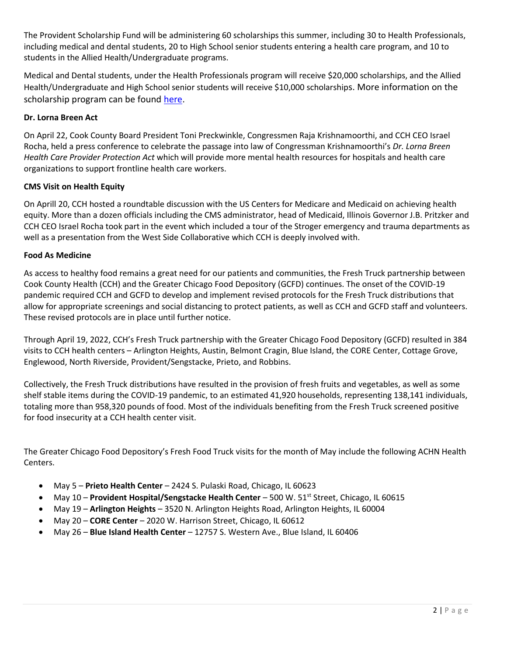The Provident Scholarship Fund will be administering 60 scholarships this summer, including 30 to Health Professionals, including medical and dental students, 20 to High School senior students entering a health care program, and 10 to students in the Allied Health/Undergraduate programs.

Medical and Dental students, under the Health Professionals program will receive \$20,000 scholarships, and the Allied Health/Undergraduate and High School senior students will receive \$10,000 scholarships. More information on the scholarship program can be found [here.](https://cookcountyhealth.org/about/careers/provident-scholarship-fund/)

# **Dr. Lorna Breen Act**

On April 22, Cook County Board President Toni Preckwinkle, Congressmen Raja Krishnamoorthi, and CCH CEO Israel Rocha, held a press conference to celebrate the passage into law of Congressman Krishnamoorthi's *Dr. Lorna Breen Health Care Provider Protection Act* which will provide more mental health resources for hospitals and health care organizations to support frontline health care workers.

# **CMS Visit on Health Equity**

On Aprill 20, CCH hosted a roundtable discussion with the US Centers for Medicare and Medicaid on achieving health equity. More than a dozen officials including the CMS administrator, head of Medicaid, Illinois Governor J.B. Pritzker and CCH CEO Israel Rocha took part in the event which included a tour of the Stroger emergency and trauma departments as well as a presentation from the West Side Collaborative which CCH is deeply involved with.

# **Food As Medicine**

As access to healthy food remains a great need for our patients and communities, the Fresh Truck partnership between Cook County Health (CCH) and the Greater Chicago Food Depository (GCFD) continues. The onset of the COVID-19 pandemic required CCH and GCFD to develop and implement revised protocols for the Fresh Truck distributions that allow for appropriate screenings and social distancing to protect patients, as well as CCH and GCFD staff and volunteers. These revised protocols are in place until further notice.

Through April 19, 2022, CCH's Fresh Truck partnership with the Greater Chicago Food Depository (GCFD) resulted in 384 visits to CCH health centers – Arlington Heights, Austin, Belmont Cragin, Blue Island, the CORE Center, Cottage Grove, Englewood, North Riverside, Provident/Sengstacke, Prieto, and Robbins.

Collectively, the Fresh Truck distributions have resulted in the provision of fresh fruits and vegetables, as well as some shelf stable items during the COVID-19 pandemic, to an estimated 41,920 households, representing 138,141 individuals, totaling more than 958,320 pounds of food. Most of the individuals benefiting from the Fresh Truck screened positive for food insecurity at a CCH health center visit.

The Greater Chicago Food Depository's Fresh Food Truck visits for the month of May include the following ACHN Health Centers.

- May 5 **Prieto Health Center** 2424 S. Pulaski Road, Chicago, IL 60623
- May 10 **Provident Hospital/Sengstacke Health Center** 500 W. 51st Street, Chicago, IL 60615
- May 19 **Arlington Heights** 3520 N. Arlington Heights Road, Arlington Heights, IL 60004
- May 20 **CORE Center** 2020 W. Harrison Street, Chicago, IL 60612
- May 26 **Blue Island Health Center** 12757 S. Western Ave., Blue Island, IL 60406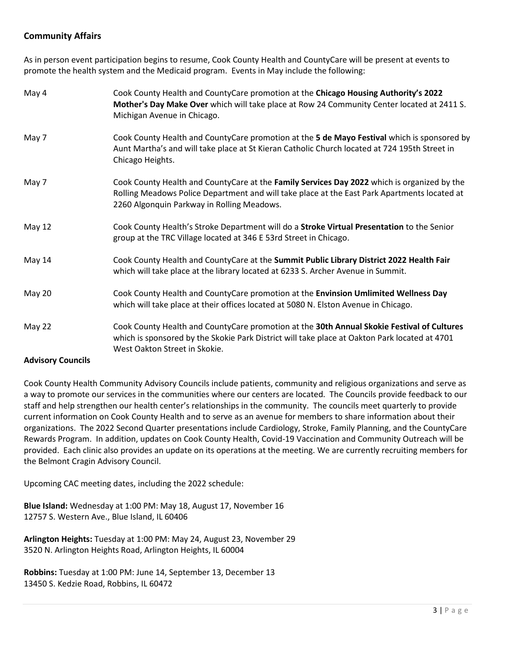# **Community Affairs**

As in person event participation begins to resume, Cook County Health and CountyCare will be present at events to promote the health system and the Medicaid program. Events in May include the following:

| May 4         | Cook County Health and CountyCare promotion at the Chicago Housing Authority's 2022<br>Mother's Day Make Over which will take place at Row 24 Community Center located at 2411 S.<br>Michigan Avenue in Chicago.                          |
|---------------|-------------------------------------------------------------------------------------------------------------------------------------------------------------------------------------------------------------------------------------------|
| May 7         | Cook County Health and CountyCare promotion at the 5 de Mayo Festival which is sponsored by<br>Aunt Martha's and will take place at St Kieran Catholic Church located at 724 195th Street in<br>Chicago Heights.                          |
| May 7         | Cook County Health and CountyCare at the Family Services Day 2022 which is organized by the<br>Rolling Meadows Police Department and will take place at the East Park Apartments located at<br>2260 Algonquin Parkway in Rolling Meadows. |
| <b>May 12</b> | Cook County Health's Stroke Department will do a Stroke Virtual Presentation to the Senior<br>group at the TRC Village located at 346 E 53rd Street in Chicago.                                                                           |
| May 14        | Cook County Health and CountyCare at the Summit Public Library District 2022 Health Fair<br>which will take place at the library located at 6233 S. Archer Avenue in Summit.                                                              |
| May 20        | Cook County Health and CountyCare promotion at the Envinsion Umlimited Wellness Day<br>which will take place at their offices located at 5080 N. Elston Avenue in Chicago.                                                                |
| May 22        | Cook County Health and CountyCare promotion at the 30th Annual Skokie Festival of Cultures<br>which is sponsored by the Skokie Park District will take place at Oakton Park located at 4701<br>West Oakton Street in Skokie.              |

#### **Advisory Councils**

Cook County Health Community Advisory Councils include patients, community and religious organizations and serve as a way to promote our services in the communities where our centers are located. The Councils provide feedback to our staff and help strengthen our health center's relationships in the community. The councils meet quarterly to provide current information on Cook County Health and to serve as an avenue for members to share information about their organizations. The 2022 Second Quarter presentations include Cardiology, Stroke, Family Planning, and the CountyCare Rewards Program. In addition, updates on Cook County Health, Covid-19 Vaccination and Community Outreach will be provided. Each clinic also provides an update on its operations at the meeting. We are currently recruiting members for the Belmont Cragin Advisory Council.

Upcoming CAC meeting dates, including the 2022 schedule:

**Blue Island:** Wednesday at 1:00 PM: May 18, August 17, November 16 12757 S. Western Ave., Blue Island, IL 60406

**Arlington Heights:** Tuesday at 1:00 PM: May 24, August 23, November 29 3520 N. Arlington Heights Road, Arlington Heights, IL 60004

**Robbins:** Tuesday at 1:00 PM: June 14, September 13, December 13 13450 S. Kedzie Road, Robbins, IL 60472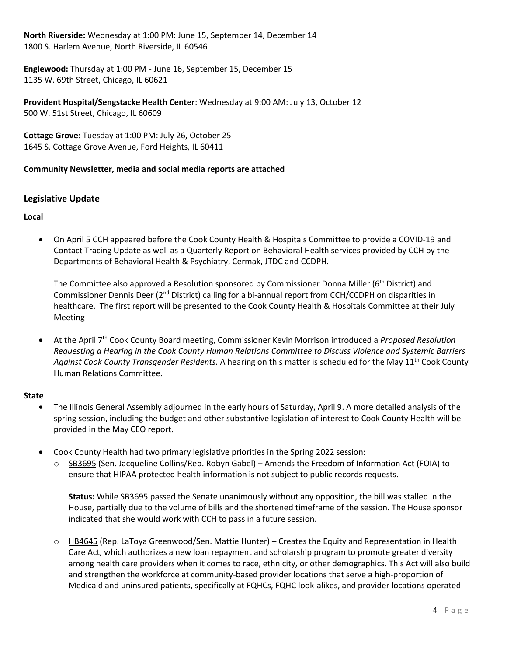**North Riverside:** Wednesday at 1:00 PM: June 15, September 14, December 14 1800 S. Harlem Avenue, North Riverside, IL 60546

**Englewood:** Thursday at 1:00 PM - June 16, September 15, December 15 1135 W. 69th Street, Chicago, IL 60621

**Provident Hospital/Sengstacke Health Center**: Wednesday at 9:00 AM: July 13, October 12 500 W. 51st Street, Chicago, IL 60609

**Cottage Grove:** Tuesday at 1:00 PM: July 26, October 25 1645 S. Cottage Grove Avenue, Ford Heights, IL 60411

## **Community Newsletter, media and social media reports are attached**

## **Legislative Update**

**Local**

• On April 5 CCH appeared before the Cook County Health & Hospitals Committee to provide a COVID-19 and Contact Tracing Update as well as a Quarterly Report on Behavioral Health services provided by CCH by the Departments of Behavioral Health & Psychiatry, Cermak, JTDC and CCDPH.

The Committee also approved a Resolution sponsored by Commissioner Donna Miller (6<sup>th</sup> District) and Commissioner Dennis Deer (2nd District) calling for a bi-annual report from CCH/CCDPH on disparities in healthcare. The first report will be presented to the Cook County Health & Hospitals Committee at their July Meeting

• At the April 7th Cook County Board meeting, Commissioner Kevin Morrison introduced a *Proposed Resolution Requesting a Hearing in the Cook County Human Relations Committee to Discuss Violence and Systemic Barriers Against Cook County Transgender Residents.* A hearing on this matter is scheduled for the May 11th Cook County Human Relations Committee.

#### **State**

- The Illinois General Assembly adjourned in the early hours of Saturday, April 9. A more detailed analysis of the spring session, including the budget and other substantive legislation of interest to Cook County Health will be provided in the May CEO report.
- Cook County Health had two primary legislative priorities in the Spring 2022 session:
	- o [SB3695](https://nam12.safelinks.protection.outlook.com/?url=https%3A%2F%2Fwww.ilga.gov%2Flegislation%2Fbillstatus.asp%3FDocNum%3D3695%26GAID%3D16%26GA%3D102%26DocTypeID%3DSB%26LegID%3D138704%26SessionID%3D110&data=04%7C01%7Ckchan5%40cookcountyhhs.org%7C2f2efc2270dc46f26ebc08d9f320ae30%7C3b922295e886417faaa84e4c4f069d82%7C0%7C0%7C637808143960458831%7CUnknown%7CTWFpbGZsb3d8eyJWIjoiMC4wLjAwMDAiLCJQIjoiV2luMzIiLCJBTiI6Ik1haWwiLCJXVCI6Mn0%3D%7C3000&sdata=aT%2FFxpzEGGnhN%2F2JCsGbEyQBnUVtCZIehmXqitLjF%2BY%3D&reserved=0) (Sen. Jacqueline Collins/Rep. Robyn Gabel) Amends the Freedom of Information Act (FOIA) to ensure that HIPAA protected health information is not subject to public records requests.

**Status:** While SB3695 passed the Senate unanimously without any opposition, the bill was stalled in the House, partially due to the volume of bills and the shortened timeframe of the session. The House sponsor indicated that she would work with CCH to pass in a future session.

 $\circ$  [HB4645](https://nam12.safelinks.protection.outlook.com/?url=https%3A%2F%2Fwww.ilga.gov%2Flegislation%2FBillStatus.asp%3FDocNum%3D4645%26GAID%3D16%26DocTypeID%3DHB%26LegID%3D138675%26SessionID%3D110%26SpecSess%3D%26Session%3D%26GA%3D102&data=04%7C01%7Ckchan5%40cookcountyhhs.org%7Cc9181f9ad3fd4736042808da091a0260%7C3b922295e886417faaa84e4c4f069d82%7C0%7C0%7C637832304557035541%7CUnknown%7CTWFpbGZsb3d8eyJWIjoiMC4wLjAwMDAiLCJQIjoiV2luMzIiLCJBTiI6Ik1haWwiLCJXVCI6Mn0%3D%7C3000&sdata=ro1lu0C%2Fg4Ll9762RbMwqgPWBUaUpzvq0y50mt2MMVE%3D&reserved=0) (Rep. LaToya Greenwood/Sen. Mattie Hunter) – Creates the Equity and Representation in Health Care Act, which authorizes a new loan repayment and scholarship program to promote greater diversity among health care providers when it comes to race, ethnicity, or other demographics. This Act will also build and strengthen the workforce at community-based provider locations that serve a high-proportion of Medicaid and uninsured patients, specifically at FQHCs, FQHC look-alikes, and provider locations operated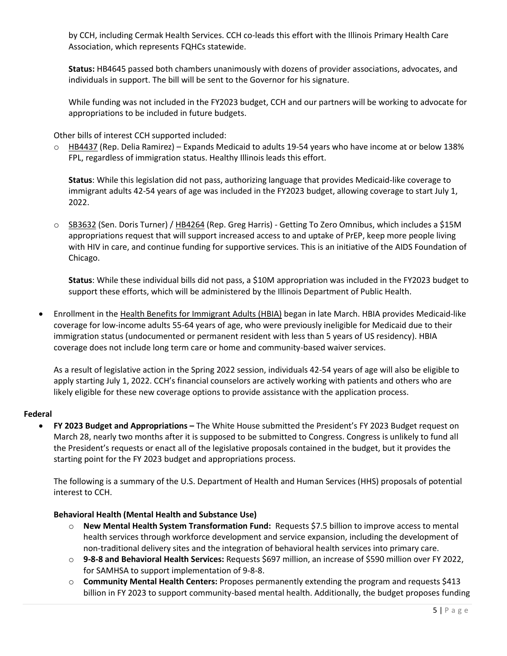by CCH, including Cermak Health Services. CCH co-leads this effort with the Illinois Primary Health Care Association, which represents FQHCs statewide.

**Status:** HB4645 passed both chambers unanimously with dozens of provider associations, advocates, and individuals in support. The bill will be sent to the Governor for his signature.

While funding was not included in the FY2023 budget, CCH and our partners will be working to advocate for appropriations to be included in future budgets.

Other bills of interest CCH supported included:

 $\circ$  [HB4437](https://nam12.safelinks.protection.outlook.com/?url=https%3A%2F%2Fwww.ilga.gov%2Flegislation%2Fbillstatus.asp%3FDocNum%3D4437%26GAID%3D16%26GA%3D102%26DocTypeID%3DHB%26LegID%3D137793%26SessionID%3D110&data=04%7C01%7Ckchan5%40cookcountyhhs.org%7C2f2efc2270dc46f26ebc08d9f320ae30%7C3b922295e886417faaa84e4c4f069d82%7C0%7C0%7C637808143960615064%7CUnknown%7CTWFpbGZsb3d8eyJWIjoiMC4wLjAwMDAiLCJQIjoiV2luMzIiLCJBTiI6Ik1haWwiLCJXVCI6Mn0%3D%7C3000&sdata=C74tR1D6BO0EXIa%2Bd9%2BP5N%2FBVrG%2FSeBm4eex9JL93o0%3D&reserved=0) (Rep. Delia Ramirez) – Expands Medicaid to adults 19-54 years who have income at or below 138% FPL, regardless of immigration status. Healthy Illinois leads this effort.

**Status**: While this legislation did not pass, authorizing language that provides Medicaid-like coverage to immigrant adults 42-54 years of age was included in the FY2023 budget, allowing coverage to start July 1, 2022.

o [SB3632](https://nam12.safelinks.protection.outlook.com/?url=https%3A%2F%2Fwww.ilga.gov%2Flegislation%2FBillStatus.asp%3FGA%3D102%26DocTypeID%3DSB%26DocNum%3D3632%26GAID%3D16%26SessionID%3D110%26LegID%3D138619&data=04%7C01%7Ckchan5%40cookcountyhhs.org%7C2f2efc2270dc46f26ebc08d9f320ae30%7C3b922295e886417faaa84e4c4f069d82%7C0%7C0%7C637808143960615064%7CUnknown%7CTWFpbGZsb3d8eyJWIjoiMC4wLjAwMDAiLCJQIjoiV2luMzIiLCJBTiI6Ik1haWwiLCJXVCI6Mn0%3D%7C3000&sdata=i%2FLFg9YdXvpszBoEF2oXtX4lZh66%2BVeTpz9QaUIXtT0%3D&reserved=0) (Sen. Doris Turner) / [HB4264](https://nam12.safelinks.protection.outlook.com/?url=https%3A%2F%2Fwww.ilga.gov%2Flegislation%2Fbillstatus.asp%3FDocNum%3D4264%26GAID%3D16%26GA%3D102%26DocTypeID%3DHB%26LegID%3D137315%26SessionID%3D110&data=04%7C01%7Ckchan5%40cookcountyhhs.org%7C2f2efc2270dc46f26ebc08d9f320ae30%7C3b922295e886417faaa84e4c4f069d82%7C0%7C0%7C637808143960615064%7CUnknown%7CTWFpbGZsb3d8eyJWIjoiMC4wLjAwMDAiLCJQIjoiV2luMzIiLCJBTiI6Ik1haWwiLCJXVCI6Mn0%3D%7C3000&sdata=E%2BX85u5CYsgOrQlXk6AW5%2FZr8IX%2B56QrBg3ndmI6Czo%3D&reserved=0) (Rep. Greg Harris) - Getting To Zero Omnibus, which includes a \$15M appropriations request that will support increased access to and uptake of PrEP, keep more people living with HIV in care, and continue funding for supportive services. This is an initiative of the AIDS Foundation of Chicago.

**Status**: While these individual bills did not pass, a \$10M appropriation was included in the FY2023 budget to support these efforts, which will be administered by the Illinois Department of Public Health.

• Enrollment in the [Health Benefits for Immigrant Adults \(HBIA\)](https://www2.illinois.gov/hfs/HealthBenefitsForImmigrants/Pages/default.aspx) began in late March. HBIA provides Medicaid-like coverage for low-income adults 55-64 years of age, who were previously ineligible for Medicaid due to their immigration status (undocumented or permanent resident with less than 5 years of US residency). HBIA coverage does not include long term care or home and community-based waiver services.

As a result of legislative action in the Spring 2022 session, individuals 42-54 years of age will also be eligible to apply starting July 1, 2022. CCH's financial counselors are actively working with patients and others who are likely eligible for these new coverage options to provide assistance with the application process.

#### **Federal**

• **FY 2023 Budget and Appropriations –** The White House submitted the President's FY 2023 Budget request on March 28, nearly two months after it is supposed to be submitted to Congress. Congress is unlikely to fund all the President's requests or enact all of the legislative proposals contained in the budget, but it provides the starting point for the FY 2023 budget and appropriations process.

The following is a summary of the U.S. Department of Health and Human Services (HHS) proposals of potential interest to CCH.

#### **Behavioral Health (Mental Health and Substance Use)**

- o **New Mental Health System Transformation Fund:** Requests \$7.5 billion to improve access to mental health services through workforce development and service expansion, including the development of non-traditional delivery sites and the integration of behavioral health services into primary care.
- o **9-8-8 and Behavioral Health Services:** Requests \$697 million, an increase of \$590 million over FY 2022, for SAMHSA to support implementation of 9-8-8.
- o **Community Mental Health Centers:** Proposes permanently extending the program and requests \$413 billion in FY 2023 to support community-based mental health. Additionally, the budget proposes funding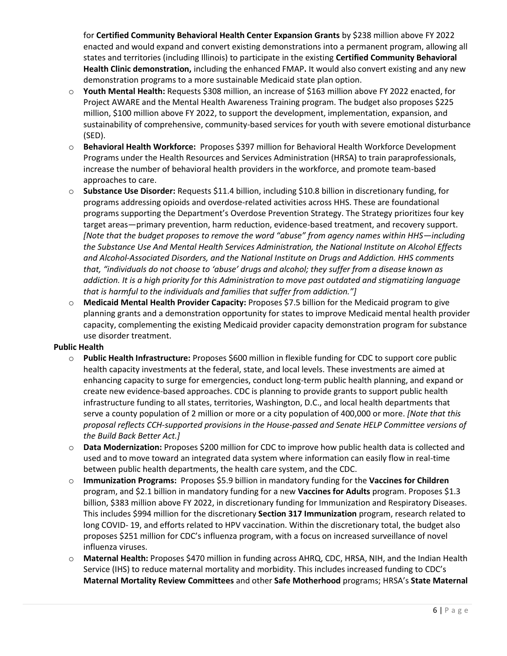for **Certified Community Behavioral Health Center Expansion Grants** by \$238 million above FY 2022 enacted and would expand and convert existing demonstrations into a permanent program, allowing all states and territories (including Illinois) to participate in the existing **Certified Community Behavioral Health Clinic demonstration,** including the enhanced FMAP**.** It would also convert existing and any new demonstration programs to a more sustainable Medicaid state plan option.

- o **Youth Mental Health:** Requests \$308 million, an increase of \$163 million above FY 2022 enacted, for Project AWARE and the Mental Health Awareness Training program. The budget also proposes \$225 million, \$100 million above FY 2022, to support the development, implementation, expansion, and sustainability of comprehensive, community-based services for youth with severe emotional disturbance (SED).
- o **Behavioral Health Workforce:** Proposes \$397 million for Behavioral Health Workforce Development Programs under the Health Resources and Services Administration (HRSA) to train paraprofessionals, increase the number of behavioral health providers in the workforce, and promote team-based approaches to care.
- o **Substance Use Disorder:** Requests \$11.4 billion, including \$10.8 billion in discretionary funding, for programs addressing opioids and overdose-related activities across HHS. These are foundational programs supporting the Department's Overdose Prevention Strategy. The Strategy prioritizes four key target areas—primary prevention, harm reduction, evidence-based treatment, and recovery support. *[Note that the budget proposes to remove the word "abuse" from agency names within HHS—including the Substance Use And Mental Health Services Administration, the National Institute on Alcohol Effects and Alcohol-Associated Disorders, and the National Institute on Drugs and Addiction. HHS comments that, "individuals do not choose to 'abuse' drugs and alcohol; they suffer from a disease known as addiction. It is a high priority for this Administration to move past outdated and stigmatizing language that is harmful to the individuals and families that suffer from addiction."]*
- o **Medicaid Mental Health Provider Capacity:** Proposes \$7.5 billion for the Medicaid program to give planning grants and a demonstration opportunity for states to improve Medicaid mental health provider capacity, complementing the existing Medicaid provider capacity demonstration program for substance use disorder treatment.

#### **Public Health**

- o **Public Health Infrastructure:** Proposes \$600 million in flexible funding for CDC to support core public health capacity investments at the federal, state, and local levels. These investments are aimed at enhancing capacity to surge for emergencies, conduct long-term public health planning, and expand or create new evidence-based approaches. CDC is planning to provide grants to support public health infrastructure funding to all states, territories, Washington, D.C., and local health departments that serve a county population of 2 million or more or a city population of 400,000 or more. *[Note that this proposal reflects CCH-supported provisions in the House-passed and Senate HELP Committee versions of the Build Back Better Act.]*
- o **Data Modernization:** Proposes \$200 million for CDC to improve how public health data is collected and used and to move toward an integrated data system where information can easily flow in real-time between public health departments, the health care system, and the CDC.
- **Immunization Programs:** Proposes \$5.9 billion in mandatory funding for the **Vaccines for Children** program, and \$2.1 billion in mandatory funding for a new **Vaccines for Adults** program. Proposes \$1.3 billion, \$383 million above FY 2022, in discretionary funding for Immunization and Respiratory Diseases. This includes \$994 million for the discretionary **Section 317 Immunization** program, research related to long COVID- 19, and efforts related to HPV vaccination. Within the discretionary total, the budget also proposes \$251 million for CDC's influenza program, with a focus on increased surveillance of novel influenza viruses.
- o **Maternal Health:** Proposes \$470 million in funding across AHRQ, CDC, HRSA, NIH, and the Indian Health Service (IHS) to reduce maternal mortality and morbidity. This includes increased funding to CDC's **Maternal Mortality Review Committees** and other **Safe Motherhood** programs; HRSA's **State Maternal**